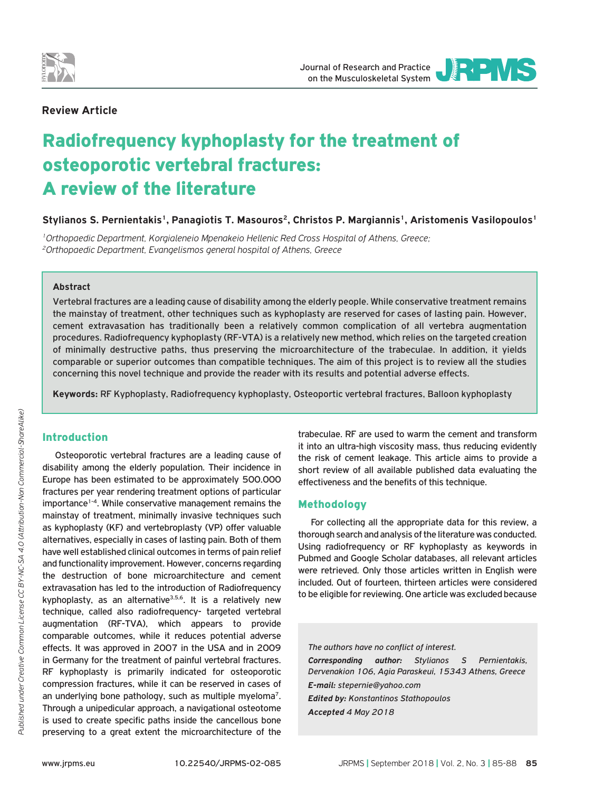

## **Review Article**

# Radiofrequency kyphoplasty for the treatment of osteoporotic vertebral fractures: A review of the literature

Stylianos S. Pernientakis<sup>1</sup>, Panagiotis T. Masouros<sup>2</sup>, Christos P. Margiannis<sup>1</sup>, Aristomenis Vasilopoulos<sup>1</sup>

*1Orthopaedic Department, Korgialeneio Mpenakeio Hellenic Red Cross Hospital of Athens, Greece; 2Orthopaedic Department, Evangelismos general hospital of Athens, Greece*

## **Abstract**

Vertebral fractures are a leading cause of disability among the elderly people. While conservative treatment remains the mainstay of treatment, other techniques such as kyphoplasty are reserved for cases of lasting pain. However, cement extravasation has traditionally been a relatively common complication of all vertebra augmentation procedures. Radiofrequency kyphoplasty (RF-VTA) is a relatively new method, which relies on the targeted creation of minimally destructive paths, thus preserving the microarchitecture of the trabeculae. In addition, it yields comparable or superior outcomes than compatible techniques. The aim of this project is to review all the studies concerning this novel technique and provide the reader with its results and potential adverse effects.

**Keywords:** RF Kyphoplasty, Radiofrequency kyphoplasty, Osteoportic vertebral fractures, Balloon kyphoplasty

# Introduction

Osteoporotic vertebral fractures are a leading cause of disability among the elderly population. Their incidence in Europe has been estimated to be approximately 500.000 fractures per year rendering treatment options of particular importance<sup>1-4</sup>. While conservative management remains the mainstay of treatment, minimally invasive techniques such as kyphoplasty (KF) and vertebroplasty (VP) offer valuable alternatives, especially in cases of lasting pain. Both of them have well established clinical outcomes in terms of pain relief and functionality improvement. However, concerns regarding the destruction of bone microarchitecture and cement extravasation has led to the introduction of Radiofrequency kyphoplasty, as an alternative<sup>3,5,6</sup>. It is a relatively new technique, called also radiofrequency- targeted vertebral augmentation (RF-TVA), which appears to provide comparable outcomes, while it reduces potential adverse effects. It was approved in 2007 in the USA and in 2009 in Germany for the treatment of painful vertebral fractures. RF kyphoplasty is primarily indicated for osteoporotic compression fractures, while it can be reserved in cases of an underlying bone pathology, such as multiple myeloma<sup>7</sup>. Through a unipedicular approach, a navigational osteotome is used to create specific paths inside the cancellous bone preserving to a great extent the microarchitecture of the

trabeculae. RF are used to warm the cement and transform it into an ultra-high viscosity mass, thus reducing evidently the risk of cement leakage. This article aims to provide a short review of all available published data evaluating the effectiveness and the benefits of this technique.

## Methodology

For collecting all the appropriate data for this review, a thorough search and analysis of the literature was conducted. Using radiofrequency or RF kyphoplasty as keywords in Pubmed and Google Scholar databases, all relevant articles were retrieved. Only those articles written in English were included. Out of fourteen, thirteen articles were considered to be eligible for reviewing. One article was excluded because

*The authors have no conflict of interest. Corresponding author: Stylianos S Pernientakis, Dervenakion 106, Agia Paraskeui, 15343 Athens, Greece E-mail: stepernie@yahoo.com Edited by: Konstantinos Stathopoulos Accepted 4 May 2018*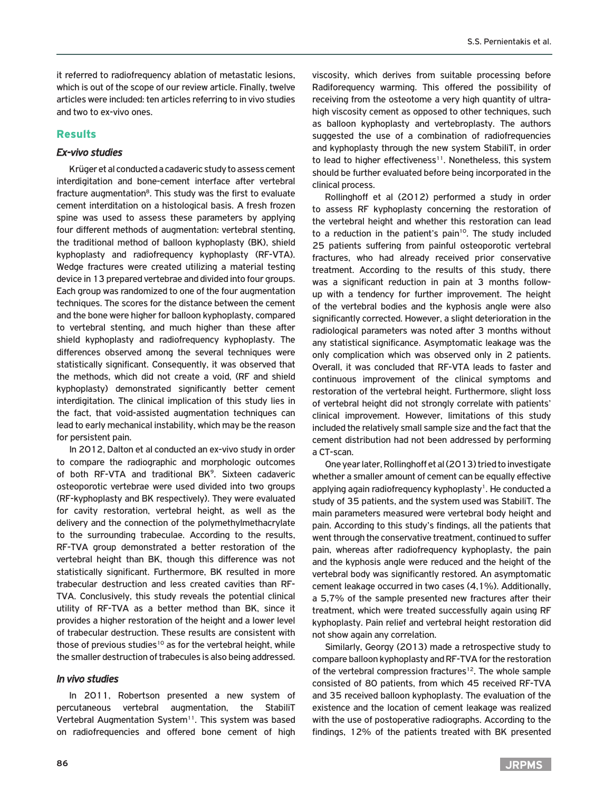it referred to radiofrequency ablation of metastatic lesions, which is out of the scope of our review article. Finally, twelve articles were included: ten articles referring to in vivo studies and two to ex-vivo ones.

## **Results**

## *Ex-vivo studies*

Krüger et al conducted a cadaveric study to assess cement interdigitation and bone-cement interface after vertebral fracture augmentation<sup>8</sup>. This study was the first to evaluate cement interditation on a histological basis. A fresh frozen spine was used to assess these parameters by applying four different methods of augmentation: vertebral stenting, the traditional method of balloon kyphoplasty (BK), shield kyphoplasty and radiofrequency kyphoplasty (RF-VTA). Wedge fractures were created utilizing a material testing device in 13 prepared vertebrae and divided into four groups. Each group was randomized to one of the four augmentation techniques. The scores for the distance between the cement and the bone were higher for balloon kyphoplasty, compared to vertebral stenting, and much higher than these after shield kyphoplasty and radiofrequency kyphoplasty. The differences observed among the several techniques were statistically significant. Consequently, it was observed that the methods, which did not create a void, (RF and shield kyphoplasty) demonstrated significantly better cement interdigitation. The clinical implication of this study lies in the fact, that void-assisted augmentation techniques can lead to early mechanical instability, which may be the reason for persistent pain.

In 2012, Dalton et al conducted an ex-vivo study in order to compare the radiographic and morphologic outcomes of both RF-VTA and traditional BK<sup>9</sup>. Sixteen cadaveric osteoporotic vertebrae were used divided into two groups (RF-kyphoplasty and BK respectively). They were evaluated for cavity restoration, vertebral height, as well as the delivery and the connection of the polymethylmethacrylate to the surrounding trabeculae. According to the results, RF-TVA group demonstrated a better restoration of the vertebral height than BK, though this difference was not statistically significant. Furthermore, BK resulted in more trabecular destruction and less created cavities than RF-TVA. Conclusively, this study reveals the potential clinical utility of RF-TVA as a better method than BK, since it provides a higher restoration of the height and a lower level of trabecular destruction. These results are consistent with those of previous studies<sup>10</sup> as for the vertebral height, while the smaller destruction of trabecules is also being addressed.

#### *In vivo studies*

In 2011, Robertson presented a new system of percutaneous vertebral augmentation, the StabiliT Vertebral Augmentation System<sup>11</sup>. This system was based on radiofrequencies and offered bone cement of high

viscosity, which derives from suitable processing before Radiforequency warming. This offered the possibility of receiving from the osteotome a very high quantity of ultrahigh viscosity cement as opposed to other techniques, such as balloon kyphoplasty and vertebroplasty. The authors suggested the use of a combination of radiofrequencies and kyphoplasty through the new system StabiliT, in order to lead to higher effectiveness<sup>11</sup>. Nonetheless, this system should be further evaluated before being incorporated in the clinical process.

Rollinghoff et al (2012) performed a study in order to assess RF kyphoplasty concerning the restoration of the vertebral height and whether this restoration can lead to a reduction in the patient's pain<sup>10</sup>. The study included 25 patients suffering from painful osteoporotic vertebral fractures, who had already received prior conservative treatment. According to the results of this study, there was a significant reduction in pain at 3 months followup with a tendency for further improvement. The height of the vertebral bodies and the kyphosis angle were also significantly corrected. However, a slight deterioration in the radiological parameters was noted after 3 months without any statistical significance. Asymptomatic leakage was the only complication which was observed only in 2 patients. Overall, it was concluded that RF-VTA leads to faster and continuous improvement of the clinical symptoms and restoration of the vertebral height. Furthermore, slight loss of vertebral height did not strongly correlate with patients' clinical improvement. However, limitations of this study included the relatively small sample size and the fact that the cement distribution had not been addressed by performing a CT-scan.

One year later, Rollinghoff et al (2013) tried to investigate whether a smaller amount of cement can be equally effective applying again radiofrequency kyphoplasty<sup>1</sup>. He conducted a study of 35 patients, and the system used was StabiliT. The main parameters measured were vertebral body height and pain. According to this study's findings, all the patients that went through the conservative treatment, continued to suffer pain, whereas after radiofrequency kyphoplasty, the pain and the kyphosis angle were reduced and the height of the vertebral body was significantly restored. An asymptomatic cement leakage occurred in two cases (4,1%). Additionally, a 5,7% of the sample presented new fractures after their treatment, which were treated successfully again using RF kyphoplasty. Pain relief and vertebral height restoration did not show again any correlation.

Similarly, Georgy (2013) made a retrospective study to compare balloon kyphoplasty and RF-TVA for the restoration of the vertebral compression fractures<sup>12</sup>. The whole sample consisted of 80 patients, from which 45 received RF-TVA and 35 received balloon kyphoplasty. The evaluation of the existence and the location of cement leakage was realized with the use of postoperative radiographs. According to the findings, 12% of the patients treated with BK presented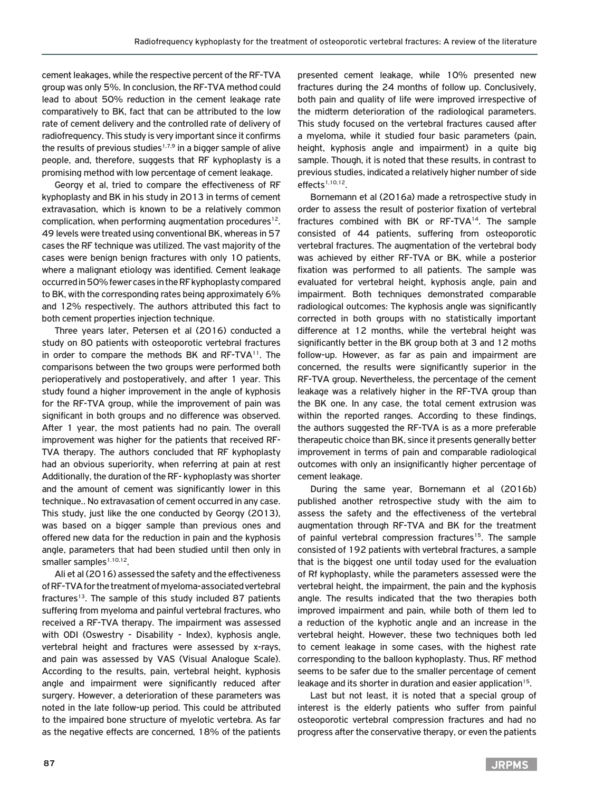cement leakages, while the respective percent of the RF-TVA group was only 5%. In conclusion, the RF-TVA method could lead to about 50% reduction in the cement leakage rate comparatively to BK, fact that can be attributed to the low rate of cement delivery and the controlled rate of delivery of radiofrequency. This study is very important since it confirms the results of previous studies<sup>1,7,9</sup> in a bigger sample of alive people, and, therefore, suggests that RF kyphoplasty is a promising method with low percentage of cement leakage.

Georgy et al, tried to compare the effectiveness of RF kyphoplasty and BK in his study in 2013 in terms of cement extravasation, which is known to be a relatively common complication, when performing augmentation procedures<sup>12</sup>. 49 levels were treated using conventional BK, whereas in 57 cases the RF technique was utilized. The vast majority of the cases were benign benign fractures with only 10 patients, where a malignant etiology was identified. Cement leakage occurred in 50% fewer cases in the RF kyphoplasty compared to BK, with the corresponding rates being approximately 6% and 12% respectively. The authors attributed this fact to both cement properties injection technique.

Three years later, Petersen et al (2016) conducted a study on 80 patients with osteoporotic vertebral fractures in order to compare the methods BK and RF-TVA<sup>11</sup>. The comparisons between the two groups were performed both perioperatively and postoperatively, and after 1 year. This study found a higher improvement in the angle of kyphosis for the RF-TVA group, while the improvement of pain was significant in both groups and no difference was observed. After 1 year, the most patients had no pain. The overall improvement was higher for the patients that received RF-TVA therapy. The authors concluded that RF kyphoplasty had an obvious superiority, when referring at pain at rest Additionally, the duration of the RF- kyphoplasty was shorter and the amount of cement was significantly lower in this technique.. No extravasation of cement occurred in any case. This study, just like the one conducted by Georgy (2013), was based on a bigger sample than previous ones and offered new data for the reduction in pain and the kyphosis angle, parameters that had been studied until then only in smaller samples<sup>1,10,12</sup>.

Ali et al (2016) assessed the safety and the effectiveness of RF-TVA for the treatment of myeloma-associated vertebral fractures<sup>13</sup>. The sample of this study included 87 patients suffering from myeloma and painful vertebral fractures, who received a RF-TVA therapy. The impairment was assessed with ODI (Oswestry - Disability - Index), kyphosis angle, vertebral height and fractures were assessed by x-rays, and pain was assessed by VAS (Visual Analogue Scale). According to the results, pain, vertebral height, kyphosis angle and impairment were significantly reduced after surgery. However, a deterioration of these parameters was noted in the late follow-up period. This could be attributed to the impaired bone structure of myelotic vertebra. As far as the negative effects are concerned, 18% of the patients presented cement leakage, while 10% presented new fractures during the 24 months of follow up. Conclusively, both pain and quality of life were improved irrespective of the midterm deterioration of the radiological parameters. This study focused on the vertebral fractures caused after a myeloma, while it studied four basic parameters (pain, height, kyphosis angle and impairment) in a quite big sample. Though, it is noted that these results, in contrast to previous studies, indicated a relatively higher number of side  $effects<sup>1,10,12</sup>$ .

Bornemann et al (2016a) made a retrospective study in order to assess the result of posterior fixation of vertebral fractures combined with BK or RF-TVA14. The sample consisted of 44 patients, suffering from osteoporotic vertebral fractures. The augmentation of the vertebral body was achieved by either RF-TVA or BK, while a posterior fixation was performed to all patients. The sample was evaluated for vertebral height, kyphosis angle, pain and impairment. Both techniques demonstrated comparable radiological outcomes: The kyphosis angle was significantly corrected in both groups with no statistically important difference at 12 months, while the vertebral height was significantly better in the BK group both at 3 and 12 moths follow-up. However, as far as pain and impairment are concerned, the results were significantly superior in the RF-TVA group. Nevertheless, the percentage of the cement leakage was a relatively higher in the RF-TVA group than the BK one. In any case, the total cement extrusion was within the reported ranges. According to these findings, the authors suggested the RF-TVA is as a more preferable therapeutic choice than BK, since it presents generally better improvement in terms of pain and comparable radiological outcomes with only an insignificantly higher percentage of cement leakage.

During the same year, Bornemann et al (2016b) published another retrospective study with the aim to assess the safety and the effectiveness of the vertebral augmentation through RF-TVA and BK for the treatment of painful vertebral compression fractures<sup>15</sup>. The sample consisted of 192 patients with vertebral fractures, a sample that is the biggest one until today used for the evaluation of Rf kyphoplasty, while the parameters assessed were the vertebral height, the impairment, the pain and the kyphosis angle. The results indicated that the two therapies both improved impairment and pain, while both of them led to a reduction of the kyphotic angle and an increase in the vertebral height. However, these two techniques both led to cement leakage in some cases, with the highest rate corresponding to the balloon kyphoplasty. Thus, RF method seems to be safer due to the smaller percentage of cement leakage and its shorter in duration and easier application<sup>15</sup>.

Last but not least, it is noted that a special group of interest is the elderly patients who suffer from painful osteoporotic vertebral compression fractures and had no progress after the conservative therapy, or even the patients